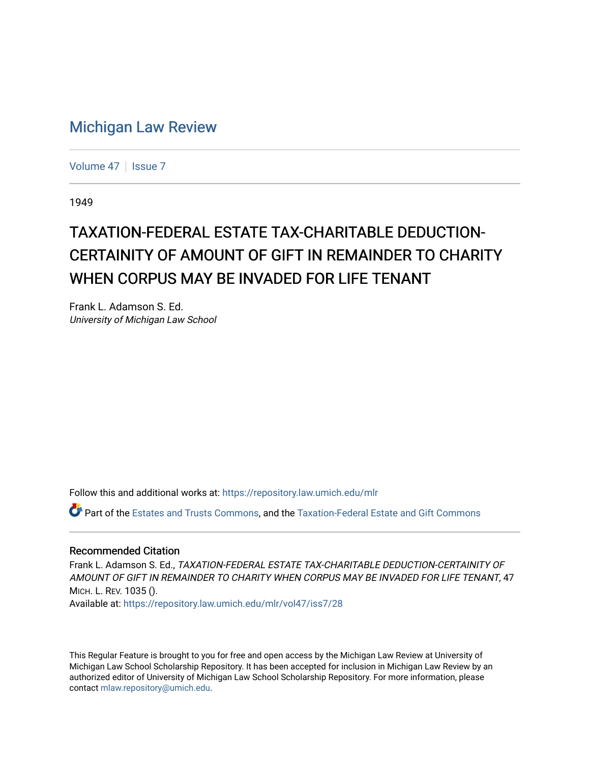## [Michigan Law Review](https://repository.law.umich.edu/mlr)

[Volume 47](https://repository.law.umich.edu/mlr/vol47) | [Issue 7](https://repository.law.umich.edu/mlr/vol47/iss7)

1949

## TAXATION-FEDERAL ESTATE TAX-CHARITABLE DEDUCTION-CERTAINITY OF AMOUNT OF GIFT IN REMAINDER TO CHARITY WHEN CORPUS MAY BE INVADED FOR LIFE TENANT

Frank L. Adamson S. Ed. University of Michigan Law School

Follow this and additional works at: [https://repository.law.umich.edu/mlr](https://repository.law.umich.edu/mlr?utm_source=repository.law.umich.edu%2Fmlr%2Fvol47%2Fiss7%2F28&utm_medium=PDF&utm_campaign=PDFCoverPages) 

Part of the [Estates and Trusts Commons,](http://network.bepress.com/hgg/discipline/906?utm_source=repository.law.umich.edu%2Fmlr%2Fvol47%2Fiss7%2F28&utm_medium=PDF&utm_campaign=PDFCoverPages) and the [Taxation-Federal Estate and Gift Commons](http://network.bepress.com/hgg/discipline/880?utm_source=repository.law.umich.edu%2Fmlr%2Fvol47%2Fiss7%2F28&utm_medium=PDF&utm_campaign=PDFCoverPages)

## Recommended Citation

Frank L. Adamson S. Ed., TAXATION-FEDERAL ESTATE TAX-CHARITABLE DEDUCTION-CERTAINITY OF AMOUNT OF GIFT IN REMAINDER TO CHARITY WHEN CORPUS MAY BE INVADED FOR LIFE TENANT, 47 MICH. L. REV. 1035 ().

Available at: [https://repository.law.umich.edu/mlr/vol47/iss7/28](https://repository.law.umich.edu/mlr/vol47/iss7/28?utm_source=repository.law.umich.edu%2Fmlr%2Fvol47%2Fiss7%2F28&utm_medium=PDF&utm_campaign=PDFCoverPages) 

This Regular Feature is brought to you for free and open access by the Michigan Law Review at University of Michigan Law School Scholarship Repository. It has been accepted for inclusion in Michigan Law Review by an authorized editor of University of Michigan Law School Scholarship Repository. For more information, please contact [mlaw.repository@umich.edu](mailto:mlaw.repository@umich.edu).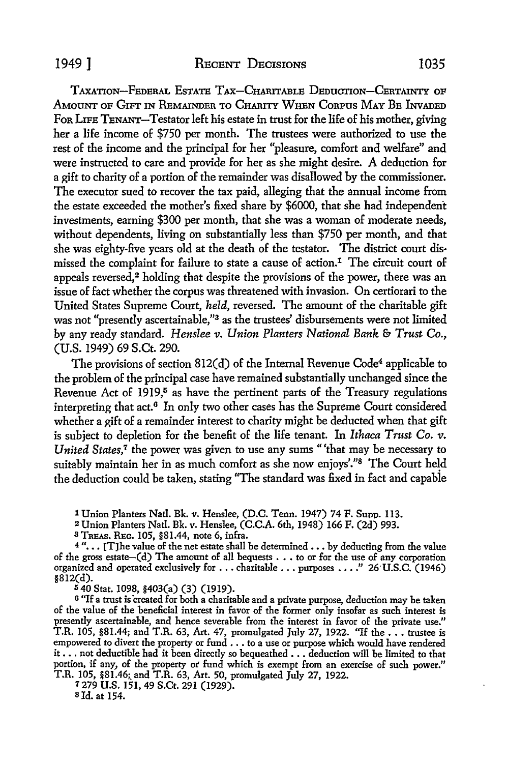TAXATION-FEDERAL ESTATE TAX-CHARITABLE DEDUCTION-CERTAINTY OF AMOUNT OF GIFT IN REMAINDER TO CHARITY WHEN CORPUS MAY BE INVADED For LIFE TENANT-Testator left his estate in trust for the life of his mother, giving her a life income of \$750 per month. The trustees were authorized to use the rest of the income and the principal for her "pleasure, comfort and welfare" and were instructed to care and provide for her as she might desire. A deduction for a gift to charity of a portion of the remainder was disallowed by the commissioner. The executor sued *to* recover the tax paid, alleging that the annual income from the estate exceeded the mother's fixed share by \$6000, that she had independent investments, earning \$300 per month, that she was a woman of moderate needs, without dependents, living on substantially less than \$750 per month, and that she was eighty-five years old at the death of the testator. The district court dismissed the complaint for failure to state a cause of action.1 The circuit court of appeals reversed.<sup>2</sup> holding that despite the provisions of the power, there was an issue of fact whether the corpus was threatened with invasion. On certiorari to the United States Supreme Court, *held,* reversed. The amount of the charitable gift was not "presently ascertainable,"<sup>3</sup> as the trustees' disbursements were not limited by any ready standard. *Henslee v. Union Planters National Bank* & *Trust Co.,*  (U.S. 1949) 69 S.Ct. 290.

The provisions of section 812(d) of the Internal Revenue Code<sup>4</sup> applicable to the problem of the principal case have remained substantially unchanged since the Revenue Act of  $1919$ ,<sup>5</sup> as have the pertinent parts of the Treasury regulations interpreting that  $act<sup>6</sup>$  In only two other cases has the Supreme Court considered whether a gift of a remainder interest to charity might be deducted when that gift is subject to depletion for the benefit of the life tenant. In *Ithaca Trust Co. v. United States,<sup>7</sup>* the power was given to use any sums "'that may be necessary to suitably maintain her in as much comfort as she now enjoys'."<sup>8</sup> The Court held the deduction could be taken, stating "The standard was fixed in fact and capabie

1 Union Planters Natl. Bk. v. Henslee, (D.C. Tenn. 1947) 74 F. Supp. 113.

<sup>2</sup>Union Planters Natl. Bk. v. Henslee, (C.C.A. 6th, 1948) 166 F. (2d) 993.

<sup>3</sup>TnEAs. REG. 105, §81.44, note 6, infra.

 $4$ "... [T]he value of the net estate shall be determined ... by deducting from the value of the gross estate-(d) The amount of all bequests . . . to or for the use of any corporation organized and operated exclusively for .•• charitable ••• purposes •••• " 26·U.S.C. (1946) §812(d).

<sup>5</sup>40 Stat. 1098, §403(a) (3) (1919).

6 "If a trust is created for both a charitable and a private purpose, deduction may be taken of the value of the beneficial interest in favor of the former only insofar as such interest is presently ascertainable, and hence severable from the interest in favor of the private use." T.R. 105, §81.44; and T.R. 63, Art. 47, promulgated July 27, 1922. "If the  $\ldots$  trustee is empowered to divert the property or fund  $\ldots$  to a use or purpose which would have rendered it  $\dots$  not deductible had it been directly so bequeathed  $\dots$  deduction will be limited to that portion, if any, of the property or fund which is exempt from an exercise of such power." T.R. 105, §81.46;\_ and T.R. 63, Art. 50, promulgated July 27, 1922.

*1279* U.S. 151, 49 S.Ct. 291 (1929). s Id. at 154.